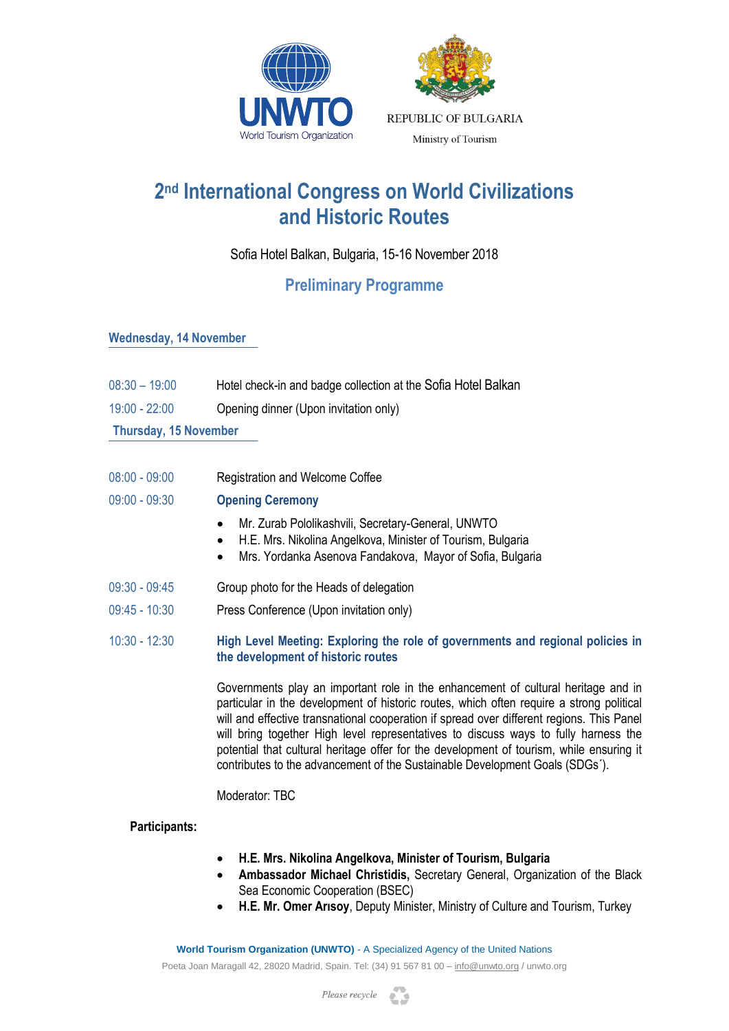



# **2 nd International Congress on World Civilizations and Historic Routes**

Sofia Hotel Balkan, Bulgaria, 15-16 November 2018

# **Preliminary Programme**

# **Wednesday, 14 November**

- 08:30 19:00 Hotel check-in and badge collection at the Sofia Hotel Balkan
- 19:00 22:00 Opening dinner (Upon invitation only)

**Thursday, 15 November**

- 08:00 09:00 Registration and Welcome Coffee
- 09:00 09:30 **Opening Ceremony**
	- Mr. Zurab Pololikashvili, Secretary-General, UNWTO
	- H.E. Mrs. Nikolina Angelkova, Minister of Tourism, Bulgaria
	- Mrs. Yordanka Asenova Fandakova, Mayor of Sofia, Bulgaria
- 09:30 09:45 Group photo for the Heads of delegation
- 09:45 10:30 Press Conference (Upon invitation only)
- 10:30 12:30 **High Level Meeting: Exploring the role of governments and regional policies in the development of historic routes**

Governments play an important role in the enhancement of cultural heritage and in particular in the development of historic routes, which often require a strong political will and effective transnational cooperation if spread over different regions. This Panel will bring together High level representatives to discuss ways to fully harness the potential that cultural heritage offer for the development of tourism, while ensuring it contributes to the advancement of the Sustainable Development Goals (SDGs´).

Moderator: TBC

# **Participants:**

- **H.E. Mrs. Nikolina Angelkova, Minister of Tourism, Bulgaria**
- **Ambassador Michael Christidis,** Secretary General, Organization of the Black Sea Economic Cooperation (BSEC)
- **H.E. Mr. Omer Arısoy**, Deputy Minister, Ministry of Culture and Tourism, Turkey

**World Tourism Organization (UNWTO)** - A Specialized Agency of the United Nations Poeta Joan Maragall 42, 28020 Madrid, Spain. Tel: (34) 91 567 81 00 – [info@unwto.org](mailto:info@unwto.org) / unwto.org

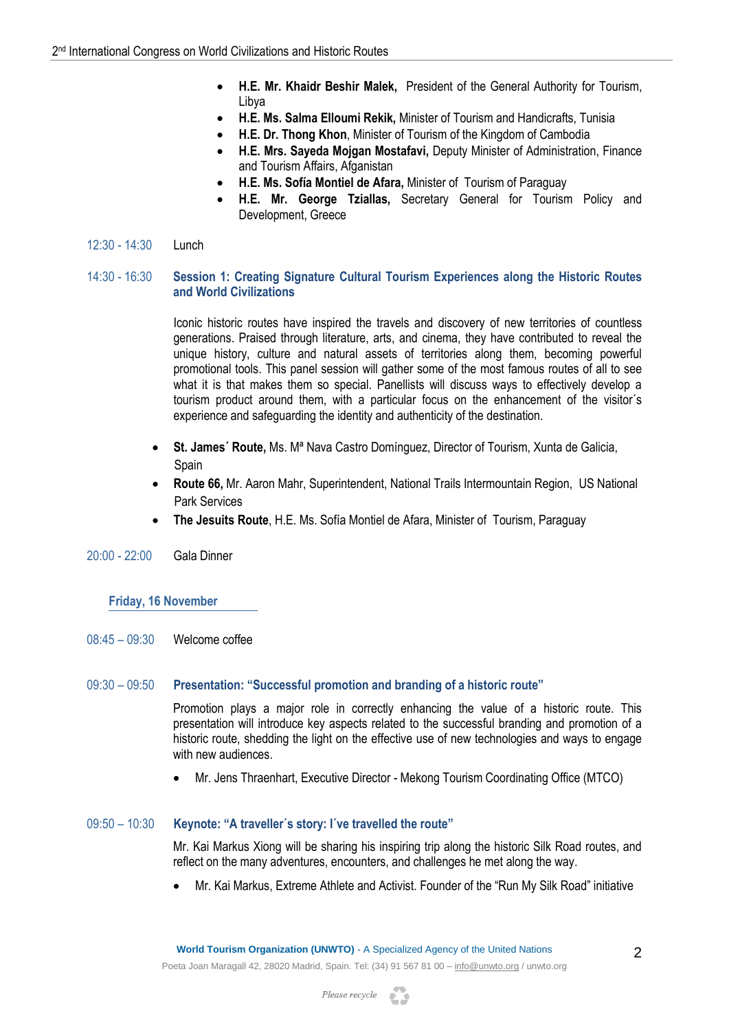- **H.E. Mr. Khaidr Beshir Malek,** President of the General Authority for Tourism, Libya
- **H.E. Ms. Salma Elloumi Rekik,** Minister of Tourism and Handicrafts, Tunisia
- **H.E. Dr. Thong Khon**, Minister of Tourism of the Kingdom of Cambodia
- **H.E. Mrs. Sayeda Mojgan Mostafavi,** Deputy Minister of Administration, Finance and Tourism Affairs, Afganistan
- **H.E. Ms. Sofía Montiel de Afara,** Minister of Tourism of Paraguay
- **H.E. Mr. George Tziallas,** Secretary General for Tourism Policy and Development, Greece
- 12:30 14:30 Lunch

#### 14:30 - 16:30 **Session 1: Creating Signature Cultural Tourism Experiences along the Historic Routes and World Civilizations**

Iconic historic routes have inspired the travels and discovery of new territories of countless generations. Praised through literature, arts, and cinema, they have contributed to reveal the unique history, culture and natural assets of territories along them, becoming powerful promotional tools. This panel session will gather some of the most famous routes of all to see what it is that makes them so special. Panellists will discuss ways to effectively develop a tourism product around them, with a particular focus on the enhancement of the visitor´s experience and safeguarding the identity and authenticity of the destination.

- **St. James´ Route,** Ms. Mª Nava Castro Domínguez, Director of Tourism, Xunta de Galicia, Spain
- **Route 66,** Mr. Aaron Mahr, Superintendent, National Trails Intermountain Region, US National Park Services
- **The Jesuits Route**, H.E. Ms. Sofía Montiel de Afara, Minister of Tourism, Paraguay
- 20:00 22:00 Gala Dinner

#### **Friday, 16 November**

08:45 – 09:30 Welcome coffee

#### 09:30 – 09:50 **Presentation: "Successful promotion and branding of a historic route"**

Promotion plays a major role in correctly enhancing the value of a historic route. This presentation will introduce key aspects related to the successful branding and promotion of a historic route, shedding the light on the effective use of new technologies and ways to engage with new audiences.

Mr. Jens Thraenhart, Executive Director - Mekong Tourism Coordinating Office (MTCO)

## 09:50 – 10:30 **Keynote: "A traveller´s story: I´ve travelled the route"**

Mr. Kai Markus Xiong will be sharing his inspiring trip along the historic Silk Road routes, and reflect on the many adventures, encounters, and challenges he met along the way.

Mr. Kai Markus, Extreme Athlete and Activist. Founder of the "Run My Silk Road" initiative